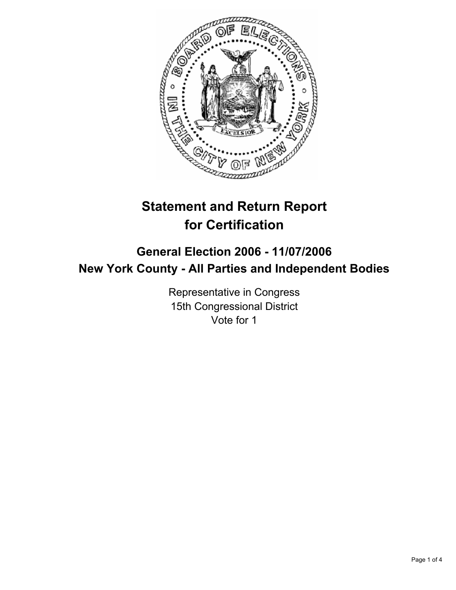

# **Statement and Return Report for Certification**

# **General Election 2006 - 11/07/2006 New York County - All Parties and Independent Bodies**

Representative in Congress 15th Congressional District Vote for 1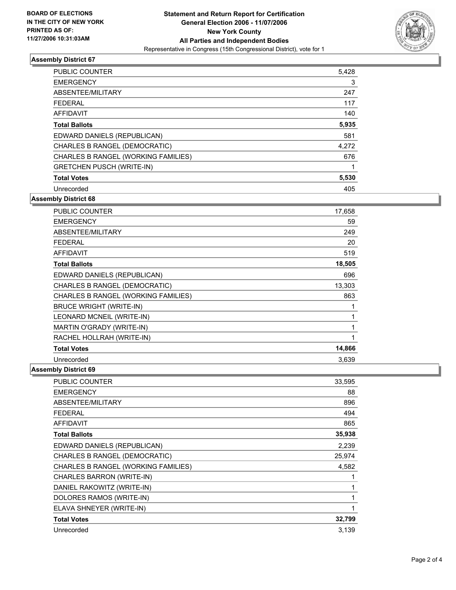

## **Assembly District 67**

| <b>PUBLIC COUNTER</b>               | 5,428 |
|-------------------------------------|-------|
| <b>EMERGENCY</b>                    | 3     |
| ABSENTEE/MILITARY                   | 247   |
| <b>FEDERAL</b>                      | 117   |
| <b>AFFIDAVIT</b>                    | 140   |
| <b>Total Ballots</b>                | 5,935 |
| EDWARD DANIELS (REPUBLICAN)         | 581   |
| CHARLES B RANGEL (DEMOCRATIC)       | 4,272 |
| CHARLES B RANGEL (WORKING FAMILIES) | 676   |
| <b>GRETCHEN PUSCH (WRITE-IN)</b>    |       |
| <b>Total Votes</b>                  | 5,530 |
| Unrecorded                          | 405   |

**Assembly District 68**

| PUBLIC COUNTER                      | 17,658 |
|-------------------------------------|--------|
| <b>EMERGENCY</b>                    | 59     |
| ABSENTEE/MILITARY                   | 249    |
| <b>FEDERAL</b>                      | 20     |
| <b>AFFIDAVIT</b>                    | 519    |
| <b>Total Ballots</b>                | 18,505 |
| EDWARD DANIELS (REPUBLICAN)         | 696    |
| CHARLES B RANGEL (DEMOCRATIC)       | 13,303 |
| CHARLES B RANGEL (WORKING FAMILIES) | 863    |
| <b>BRUCE WRIGHT (WRITE-IN)</b>      |        |
| LEONARD MCNEIL (WRITE-IN)           |        |
| MARTIN O'GRADY (WRITE-IN)           |        |
| RACHEL HOLLRAH (WRITE-IN)           |        |
| <b>Total Votes</b>                  | 14,866 |
| Unrecorded                          | 3,639  |

#### **Assembly District 69**

| PUBLIC COUNTER                      | 33,595 |
|-------------------------------------|--------|
| <b>EMERGENCY</b>                    | 88     |
| ABSENTEE/MILITARY                   | 896    |
| <b>FEDERAL</b>                      | 494    |
| <b>AFFIDAVIT</b>                    | 865    |
| <b>Total Ballots</b>                | 35,938 |
| EDWARD DANIELS (REPUBLICAN)         | 2,239  |
| CHARLES B RANGEL (DEMOCRATIC)       | 25,974 |
| CHARLES B RANGEL (WORKING FAMILIES) | 4,582  |
| CHARLES BARRON (WRITE-IN)           |        |
| DANIEL RAKOWITZ (WRITE-IN)          |        |
| DOLORES RAMOS (WRITE-IN)            |        |
| ELAVA SHNEYER (WRITE-IN)            |        |
| <b>Total Votes</b>                  | 32,799 |
| Unrecorded                          | 3,139  |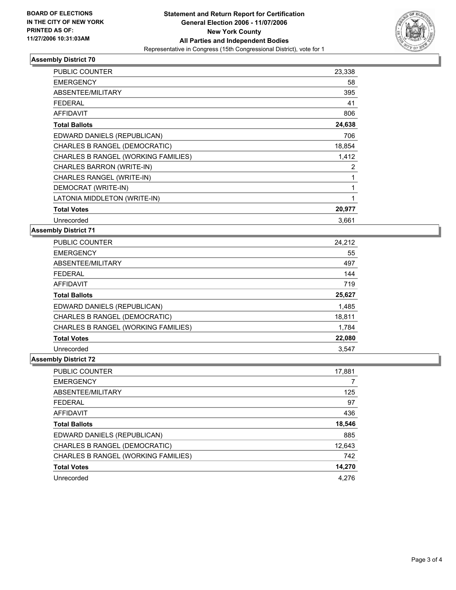

## **Assembly District 70**

| PUBLIC COUNTER                      | 23,338 |
|-------------------------------------|--------|
| <b>EMERGENCY</b>                    | 58     |
| <b>ABSENTEE/MILITARY</b>            | 395    |
| <b>FEDERAL</b>                      | 41     |
| <b>AFFIDAVIT</b>                    | 806    |
| <b>Total Ballots</b>                | 24,638 |
| EDWARD DANIELS (REPUBLICAN)         | 706    |
| CHARLES B RANGEL (DEMOCRATIC)       | 18,854 |
| CHARLES B RANGEL (WORKING FAMILIES) | 1,412  |
| CHARLES BARRON (WRITE-IN)           | 2      |
| CHARLES RANGEL (WRITE-IN)           |        |
| DEMOCRAT (WRITE-IN)                 |        |
| LATONIA MIDDLETON (WRITE-IN)        |        |
| <b>Total Votes</b>                  | 20,977 |
| Unrecorded                          | 3,661  |

#### **Assembly District 71**

| <b>PUBLIC COUNTER</b>               | 24,212 |
|-------------------------------------|--------|
| <b>EMERGENCY</b>                    | 55     |
| ABSENTEE/MILITARY                   | 497    |
| <b>FEDERAL</b>                      | 144    |
| <b>AFFIDAVIT</b>                    | 719    |
| <b>Total Ballots</b>                | 25,627 |
| EDWARD DANIELS (REPUBLICAN)         | 1,485  |
| CHARLES B RANGEL (DEMOCRATIC)       | 18,811 |
| CHARLES B RANGEL (WORKING FAMILIES) | 1,784  |
| <b>Total Votes</b>                  | 22,080 |
| Unrecorded                          | 3,547  |

# **Assembly District 72**

| <b>PUBLIC COUNTER</b>               | 17,881 |
|-------------------------------------|--------|
| <b>EMERGENCY</b>                    |        |
| ABSENTEE/MILITARY                   | 125    |
| <b>FEDERAL</b>                      | 97     |
| <b>AFFIDAVIT</b>                    | 436    |
| <b>Total Ballots</b>                | 18,546 |
| EDWARD DANIELS (REPUBLICAN)         | 885    |
| CHARLES B RANGEL (DEMOCRATIC)       | 12,643 |
| CHARLES B RANGEL (WORKING FAMILIES) | 742    |
| <b>Total Votes</b>                  | 14,270 |
| Unrecorded                          | 4.276  |